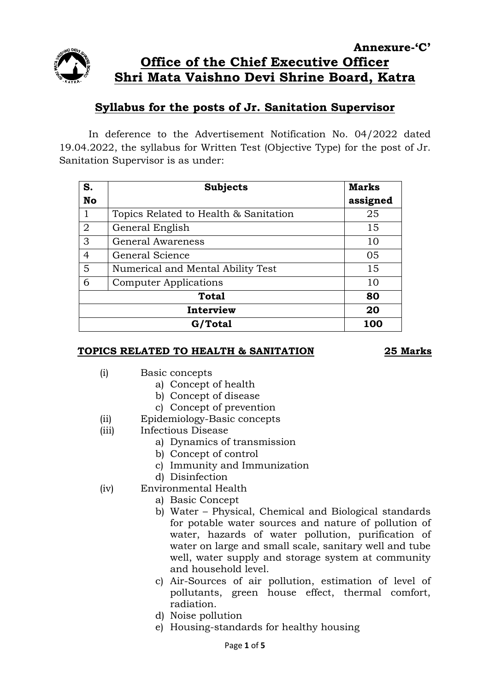

# **Annexure-'C' Office of the Chief Executive Officer Shri Mata Vaishno Devi Shrine Board, Katra**

# **Syllabus for the posts of Jr. Sanitation Supervisor**

In deference to the Advertisement Notification No. 04/2022 dated 19.04.2022, the syllabus for Written Test (Objective Type) for the post of Jr. Sanitation Supervisor is as under:

| S.             | <b>Subjects</b>                       | <b>Marks</b> |
|----------------|---------------------------------------|--------------|
| <b>No</b>      |                                       | assigned     |
| 1              | Topics Related to Health & Sanitation | 25           |
| $\overline{2}$ | General English                       | 15           |
| 3              | General Awareness                     | 10           |
| 4              | General Science                       | 05           |
| 5              | Numerical and Mental Ability Test     | 15           |
| 6              | <b>Computer Applications</b>          | 10           |
| <b>Total</b>   |                                       | 80           |
| Interview      |                                       | 20           |
| G/Total        |                                       | 100          |

## **TOPICS RELATED TO HEALTH & SANITATION 25 Marks**

- (i) Basic concepts
	- a) Concept of health
	- b) Concept of disease
	- c) Concept of prevention
- (ii) Epidemiology-Basic concepts
- (iii) Infectious Disease
	- a) Dynamics of transmission
	- b) Concept of control
	- c) Immunity and Immunization
	- d) Disinfection
- (iv) Environmental Health
	- a) Basic Concept
	- b) Water Physical, Chemical and Biological standards for potable water sources and nature of pollution of water, hazards of water pollution, purification of water on large and small scale, sanitary well and tube well, water supply and storage system at community and household level.
	- c) Air-Sources of air pollution, estimation of level of pollutants, green house effect, thermal comfort, radiation.
	- d) Noise pollution
	- e) Housing-standards for healthy housing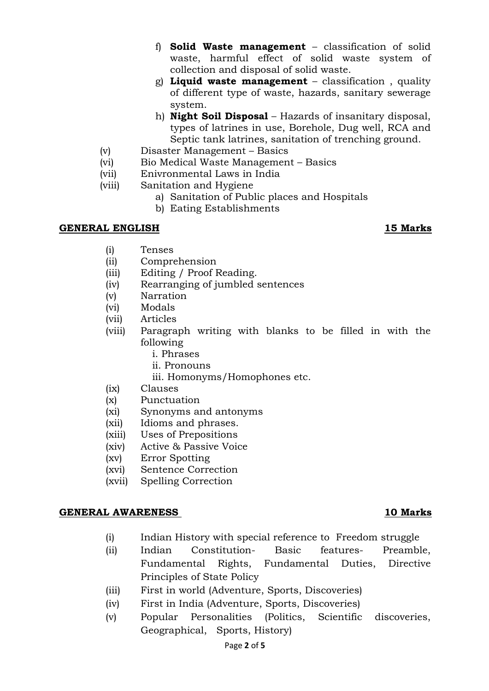- f) **Solid Waste management** classification of solid waste, harmful effect of solid waste system of collection and disposal of solid waste.
- g) **Liquid waste management** classification , quality of different type of waste, hazards, sanitary sewerage system.
- h) **Night Soil Disposal** Hazards of insanitary disposal, types of latrines in use, Borehole, Dug well, RCA and Septic tank latrines, sanitation of trenching ground.
- (v) Disaster Management Basics
- (vi) Bio Medical Waste Management Basics
- (vii) Enivronmental Laws in India
- (viii) Sanitation and Hygiene
	- a) Sanitation of Public places and Hospitals
		- b) Eating Establishments

# **GENERAL ENGLISH 15 Marks**

- (i) Tenses
- (ii) Comprehension
- (iii) Editing / Proof Reading.
- (iv) Rearranging of jumbled sentences
- (v) Narration
- (vi) Modals
- (vii) Articles
- (viii) Paragraph writing with blanks to be filled in with the following
	- i. Phrases
	- ii. Pronouns
	- iii. Homonyms/Homophones etc.
- (ix) Clauses
- (x) Punctuation
- (xi) Synonyms and antonyms
- (xii) Idioms and phrases.
- (xiii) Uses of Prepositions
- (xiv) Active & Passive Voice
- (xv) Error Spotting
- (xvi) Sentence Correction
- (xvii) Spelling Correction

### **GENERAL AWARENESS 10 Marks**

- (i) Indian History with special reference to Freedom struggle
- (ii) Indian Constitution- Basic features- Preamble, Fundamental Rights, Fundamental Duties, Directive Principles of State Policy
- (iii) First in world (Adventure, Sports, Discoveries)
- (iv) First in India (Adventure, Sports, Discoveries)
- (v) Popular Personalities (Politics, Scientific discoveries, Geographical, Sports, History)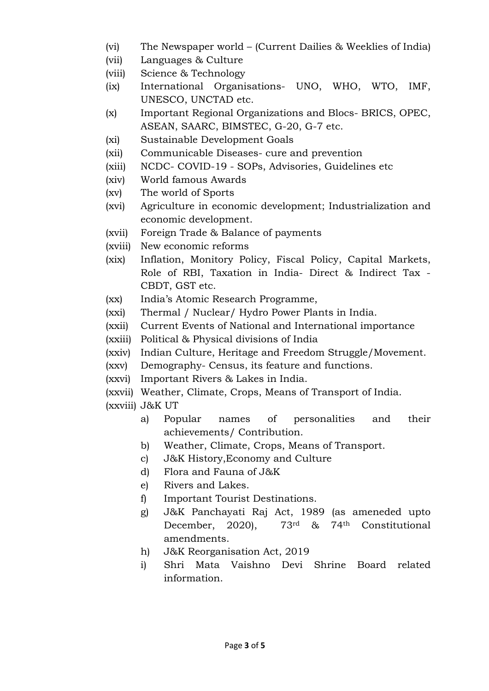- (vi) The Newspaper world (Current Dailies & Weeklies of India)
- (vii) Languages & Culture
- (viii) Science & Technology
- (ix) International Organisations- UNO, WHO, WTO, IMF, UNESCO, UNCTAD etc.
- (x) Important Regional Organizations and Blocs- BRICS, OPEC, ASEAN, SAARC, BIMSTEC, G-20, G-7 etc.
- (xi) Sustainable Development Goals
- (xii) Communicable Diseases- cure and prevention
- (xiii) NCDC- COVID-19 SOPs, Advisories, Guidelines etc
- (xiv) World famous Awards
- (xv) The world of Sports
- (xvi) Agriculture in economic development; Industrialization and economic development.
- (xvii) Foreign Trade & Balance of payments
- (xviii) New economic reforms
- (xix) Inflation, Monitory Policy, Fiscal Policy, Capital Markets, Role of RBI, Taxation in India- Direct & Indirect Tax - CBDT, GST etc.
- (xx) India's Atomic Research Programme,
- (xxi) Thermal / Nuclear/ Hydro Power Plants in India.
- (xxii) Current Events of National and International importance
- (xxiii) Political & Physical divisions of India
- (xxiv) Indian Culture, Heritage and Freedom Struggle/Movement.
- (xxv) Demography- Census, its feature and functions.
- (xxvi) Important Rivers & Lakes in India.
- (xxvii) Weather, Climate, Crops, Means of Transport of India.
- (xxviii) J&K UT
	- a) Popular names of personalities and their achievements/ Contribution.
	- b) Weather, Climate, Crops, Means of Transport.
	- c) J&K History,Economy and Culture
	- d) Flora and Fauna of J&K
	- e) Rivers and Lakes.
	- f) Important Tourist Destinations.
	- g) J&K Panchayati Raj Act, 1989 (as ameneded upto December, 2020), 73rd & 74th Constitutional amendments.
	- h) J&K Reorganisation Act, 2019
	- i) Shri Mata Vaishno Devi Shrine Board related information.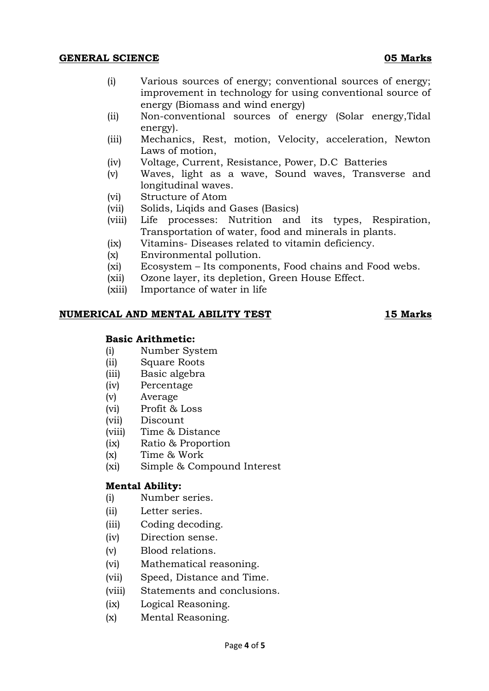### **GENERAL SCIENCE 05 Marks**

- (i) Various sources of energy; conventional sources of energy; improvement in technology for using conventional source of energy (Biomass and wind energy)
- (ii) Non-conventional sources of energy (Solar energy,Tidal energy).
- (iii) Mechanics, Rest, motion, Velocity, acceleration, Newton Laws of motion,
- (iv) Voltage, Current, Resistance, Power, D.C Batteries
- (v) Waves, light as a wave, Sound waves, Transverse and longitudinal waves.
- (vi) Structure of Atom
- (vii) Solids, Liqids and Gases (Basics)
- (viii) Life processes: Nutrition and its types, Respiration, Transportation of water, food and minerals in plants.
- (ix) Vitamins- Diseases related to vitamin deficiency.
- (x) Environmental pollution.
- (xi) Ecosystem Its components, Food chains and Food webs.
- (xii) Ozone layer, its depletion, Green House Effect.
- (xiii) Importance of water in life

### **NUMERICAL AND MENTAL ABILITY TEST 15 Marks**

### **Basic Arithmetic:**

- (i) Number System
- (ii) Square Roots
- (iii) Basic algebra
- (iv) Percentage
- (v) Average
- (vi) Profit & Loss
- (vii) Discount
- (viii) Time & Distance
- (ix) Ratio & Proportion
- (x) Time & Work
- (xi) Simple & Compound Interest

### **Mental Ability:**

- (i) Number series.
- (ii) Letter series.
- (iii) Coding decoding.
- (iv) Direction sense.
- (v) Blood relations.
- (vi) Mathematical reasoning.
- (vii) Speed, Distance and Time.
- (viii) Statements and conclusions.
- (ix) Logical Reasoning.
- (x) Mental Reasoning.